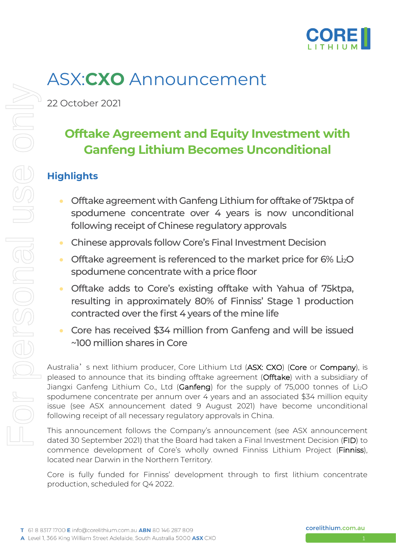

# ASX:**CXO** Announcement

22 October 2021

## **Offtake Agreement and Equity Investment with Ganfeng Lithium Becomes Unconditional**

### **Highlights**

- Offtake agreement with Ganfeng Lithium for offtake of 75ktpa of spodumene concentrate over 4 years is now unconditional following receipt of Chinese regulatory approvals
- Chinese approvals follow Core's Final Investment Decision
- Offtake agreement is referenced to the market price for 6% Li<sub>2</sub>O spodumene concentrate with a price floor
- Offtake adds to Core's existing offtake with Yahua of 75ktpa, resulting in approximately 80% of Finniss' Stage 1 production contracted over the first 4 years of the mine life
- Core has received \$34 million from Ganfeng and will be issued ~100 million shares in Core

Australia's next lithium producer, Core Lithium Ltd (ASX: CXO) (Core or Company), is pleased to announce that its binding offtake agreement (Offtake) with a subsidiary of Jiangxi Ganfeng Lithium Co., Ltd (Ganfeng) for the supply of 75,000 tonnes of Li<sub>2</sub>O spodumene concentrate per annum over 4 years and an associated \$34 million equity issue (see ASX announcement dated 9 August 2021) have become unconditional following receipt of all necessary regulatory approvals in China.

This announcement follows the Company's announcement (see ASX announcement dated 30 September 2021) that the Board had taken a Final Investment Decision (FID) to commence development of Core's wholly owned Finniss Lithium Project (Finniss), located near Darwin in the Northern Territory.

Core is fully funded for Finniss' development through to first lithium concentrate production, scheduled for Q4 2022.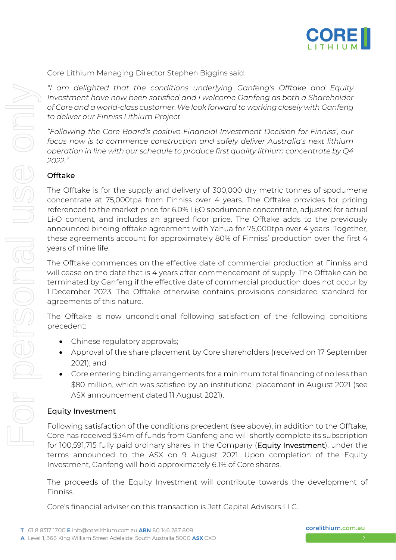

Core Lithium Managing Director Stephen Biggins said:

*"I am delighted that the conditions underlying Ganfeng's Offtake and Equity Investment have now been satisfied and I welcome Ganfeng as both a Shareholder of Core and a world-class customer.We look forward to working closely with Ganfeng to deliver our Finniss Lithium Project.*

*"Following the Core Board's positive Financial Investment Decision for Finniss', our focus now is to commence construction and safely deliver Australia's next lithium operation in line with our schedule to produce first quality lithium concentrate by Q4 2022."*

#### Offtake

The Offtake is for the supply and delivery of 300,000 dry metric tonnes of spodumene concentrate at 75,000tpa from Finniss over 4 years. The Offtake provides for pricing referenced to the market price for 6.0% Li<sub>2</sub>O spodumene concentrate, adjusted for actual Li2O content, and includes an agreed floor price. The Offtake adds to the previously announced binding offtake agreement with Yahua for 75,000tpa over 4 years. Together, these agreements account for approximately 80% of Finniss' production over the first 4 years of mine life.

The Offtake commences on the effective date of commercial production at Finniss and will cease on the date that is 4 years after commencement of supply. The Offtake can be terminated by Ganfeng if the effective date of commercial production does not occur by 1 December 2023. The Offtake otherwise contains provisions considered standard for agreements of this nature.

The Offtake is now unconditional following satisfaction of the following conditions precedent:

- Chinese regulatory approvals;
- Approval of the share placement by Core shareholders (received on 17 September 2021); and
- Core entering binding arrangements for a minimum total financing of no less than \$80 million, which was satisfied by an institutional placement in August 2021 (see ASX announcement dated 11 August 2021).

#### Equity Investment

Following satisfaction of the conditions precedent (see above), in addition to the Offtake, Core has received \$34m of funds from Ganfeng and will shortly complete its subscription for 100,591,715 fully paid ordinary shares in the Company (Equity Investment), under the terms announced to the ASX on 9 August 2021. Upon completion of the Equity Investment, Ganfeng will hold approximately 6.1% of Core shares.

The proceeds of the Equity Investment will contribute towards the development of Finniss.

Core's financial adviser on this transaction is Jett Capital Advisors LLC.